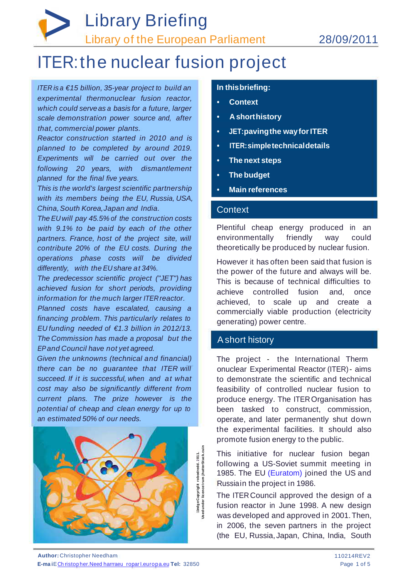# *>* Library Briefing Library of the European Parliament 28/09/2011

# ITER:the nuclear fusion project

**In thisbriefing:**

- **Context**
- **A shorthistory**
- **JET:pavingthe wayforITER**
- **ITER:simpletechnicaldetails**
- **The next steps**
- **The budget**
- **Main references**

### **Context**

*ITER is a €15 billion, 35-year project to build an experimental thermonuclear fusion reactor, which could serveas a basis for a future, larger scale demonstration power source and, after that, commercial power plants.*

*Reactor construction started in 2010 and is planned to be completed by around 2019. Experiments will be carried out over the following 20 years, with dismantlement planned for the final five years.*

*This is the world's largest scientific partnership with its members being the EU, Russia, USA, China, South Korea,Japan and India.*

*The EU will pay 45.5% of the construction costs with 9.1% to be paid by each of the other partners. France, host of the project site, will contribute 20% of the EU costs. During the operations phase costs will be divided differently, with the EU share at 34%.*

*The predecessor scientific project ("JET") has achieved fusion for short periods, providing information for the much larger ITERreactor.*

*Planned costs have escalated, causing a financing problem. This particularly relates to EU funding needed of €1.3 billion in 2012/13. The Commission has made a proposal but the EPand Council have not yet agreed.*

*Given the unknowns (technical and financial) there can be no guarantee that ITER will succeed. If it is successful, when and at what cost may also be significantly different from current plans. The prize however is the potential of cheap and clean energy for up to an estimated 50% of our needs.*

Plentiful cheap energy produced in an environmentally friendly way could theoretically be produced by nuclear fusion.

However it has often been said that fusion is the power of the future and always will be. This is because of technical difficulties to achieve controlled fusion and, once achieved, to scale up and create a commercially viable production (electricity generating) power centre.

## Ashort history

The project - the International Therm onuclear Experimental Reactor (ITER)- aims to demonstrate the scientific and technical feasibility of controlled nuclear fusion to produce energy. The ITEROrganisation has been tasked to construct, commission, operate, and later permanently shut down the experimental facilities. It should also promote fusion energy to the public.

This initiative for nuclear fusion began following a US-Soviet summit meeting in 1985. The EU (Euratom) joined the US and Russiain the project in 1986.

The ITERCouncil approved the design of a fusion reactor in June 1998. A new design was developed and approved in 2001.Then, in 2006, the seven partners in the project (the EU, Russia, Japan, China, India, South



**Author:** Christopher Needham

**E-ma i**ECh ristop her.Need harrraeu roparI.europa.eu **Tel:** 32850

110214REV2 Page 1 of 5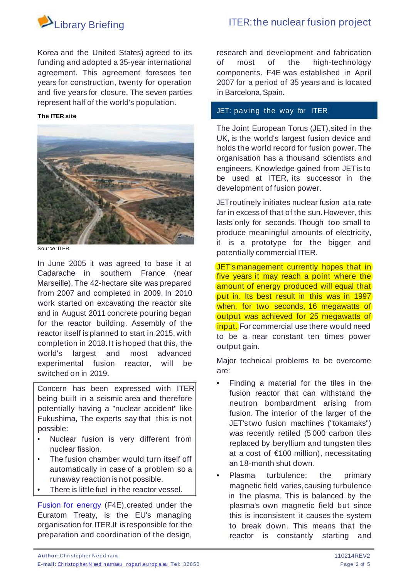

research and development and fabrication of most of the high-technology components. F4E was established in April 2007 for a period of 35 years and is located in Barcelona, Spain.

Korea and the United States) agreed to its funding and adopted a 35-year international agreement. This agreement foresees ten years for construction, twenty for operation and five years for closure. The seven parties represent half of the world's population.

> The Joint European Torus (JET), sited in the UK, is the world's largest fusion device and holds the world record for fusion power.The organisation has a thousand scientists and engineers. Knowledge gained from JETis to be used at ITER, its successor in the development of fusion power.

#### JET: paving the way for ITER

#### **The ITER site**



JET's management currently hopes that in five years it may reach a point where the amount of energy produced will equal that put in. Its best result in this was in 1997 when, for two seconds, 16 megawatts of output was achieved for 25 megawatts of input. For commercial use there would need to be a near constant ten times power output gain.

JETroutinely initiates nuclear fusion ata rate far in excessof that of the sun. However, this lasts only for seconds. Though too small to produce meaningful amounts of electricity, it is a prototype for the bigger and potentially commercial ITER.

Plasma turbulence: the primary magnetic field varies,causing turbulence in the plasma. This is balanced by the plasma's own magnetic field but since this is inconsistent it causes the system to break down. This means that the reactor is constantly starting and

Major technical problems to be overcome are:

Fusion for energy (F4E), created under the Euratom Treaty, is the EU's managing organisation for ITER.It is responsible for the preparation and coordination of the design,

fusion. The interior of the larger of the JET's two fusion machines ("tokamaks") was recently retiled (5 000 carbon tiles replaced by beryllium and tungsten tiles at a cost of €100 million), necessitating an 18-month shut down.

Source: ITER.

- Finding a material for the tiles in the fusion reactor that can withstand the neutron bombardment arising from
- Nuclear fusion is very different from nuclear fission.
- The fusion chamber would turn itself off automatically in case of a problem so a runaway reaction is not possible.
- There is little fuel in the reactor vessel.

In June 2005 it was agreed to base it at Cadarache in southern France (near Marseille), The 42-hectare site was prepared from 2007 and completed in 2009. In 2010 work started on excavating the reactor site and in August 2011 concrete pouring began for the reactor building. Assembly of the reactor itself is planned to start in 2015, with completion in 2018. It is hoped that this, the world's largest and most advanced experimental fusion reactor, will be switched on in 2019.

Concern has been expressed with ITER being built in a seismic area and therefore potentially having a "nuclear accident" like Fukushima, The experts say that this is not possible:

**Author:** Christopher Needham

**E-mail:** Ch ristop h er.N eed h arrraeu roparI.eu rop a.eu **Tel:** 32850

110214REV2 Page 2 of 5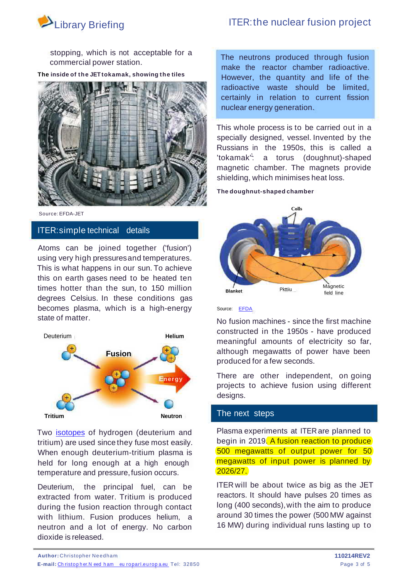## Library Briefing **ITER:the nuclear fusion project**



stopping, which is not acceptable for a commercial power station.

**The inside of the JET tokamak, showing the tiles**



The neutrons produced through fusion make the reactor chamber radioactive. However, the quantity and life of the radioactive waste should be limited, certainly in relation to current fission nuclear energy generation.

This whole process is to be carried out in a specially designed, vessel. Invented by the Russians in the 1950s, this is called a 'tokamak'<sup>'</sup>: a torus (doughnut)-shaped magnetic chamber. The magnets provide shielding, which minimises heat loss.

**The doughnut-shaped chamber**



Source: EFDA

Source: EFDA-JET

#### ITER:simple technical details

Atoms can be joined together ('fusion') using very high pressuresand temperatures. This is what happens in our sun. To achieve this on earth gases need to be heated ten times hotter than the sun, to 150 million degrees Celsius. In these conditions gas becomes plasma, which is a high-energy state of matter.

No fusion machines - since the first machine constructed in the 1950s - have produced meaningful amounts of electricity so far, although megawatts of power have been produced for a few seconds.

There are other independent, on going projects to achieve fusion using different designs.

Two **isotopes** of hydrogen (deuterium and tritium) are used since they fuse most easily. When enough deuterium-tritium plasma is held for long enough at a high enough temperature and pressure, fusion occurs.



Plasma experiments at ITER are planned to begin in 2019. A fusion reaction to produce 500 megawatts of output power for 50 megawatts of input power is planned by 2026/27.

ITER will be about twice as big as the JET reactors. It should have pulses 20 times as long (400 seconds), with the aim to produce around 30 times the power (500 MW against 16 MW) during individual runs lasting up to

Deuterium, the principal fuel, can be extracted from water. Tritium is produced during the fusion reaction through contact with lithium. Fusion produces helium, a neutron and a lot of energy. No carbon dioxide is released.

**Author:** Christopher Needham **110214REV2**

**E-mail:** Christop her.N eed ham europarl.europ a.eu Tel: 32850 **Page 3 of 5** Page 3 of 5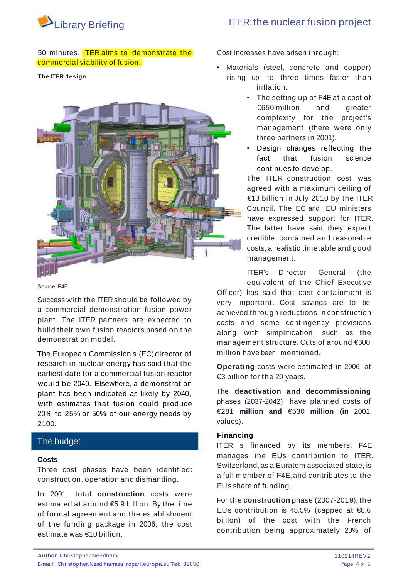

#### 50 minutes. **ITER aims to demonstrate the** commercial viability of fusion.

#### **The ITER design**



Cost increases have arisen through:

- Materials (steel, concrete and copper) rising up to three times faster than inflation.
	- The setting up of F4E at a cost of €650 million and greater complexity for the project's management (there were only three partners in 2001).
	- Design changes reflecting the fact that fusion science continues to develop.

The ITER construction cost was agreed with a maximum ceiling of €13 billion in July 2010 by the ITER Council. The EC and EU ministers have expressed support for ITER. The latter have said they expect credible, contained and reasonable costs, a realistic timetable and good management.

ITER's Director General (the equivalent of the Chief Executive Officer) has said that cost containment is very important. Cost savings are to be achieved through reductions in construction costs and some contingency provisions along with simplification, such as the management structure. Cuts of around €600 million have been mentioned.

Source: F4E

Success with the ITER should be followed by a commercial demonstration fusion power plant. The ITER partners are expected to build their own fusion reactors based on the demonstration model.

> **Operating** costs were estimated in 2006 at €3 billion for the 20 years.

> The **deactivation and decommissioning** phases (2037-2042) have planned costs of €281 **million and** €530 **million (in** 2001 values).

The European Commission's (EC) director of research in nuclear energy has said that the earliest date for a commercial fusion reactor would be 2040. Elsewhere, a demonstration plant has been indicated as likely by 2040, with estimates that fusion could produce

20% to 25% or 50% of our energy needs by 2100.

#### **Financing**

ITER is financed by its members. F4E manages the EUs contribution to ITER. Switzerland, as a Euratom associated state, is a full member of F4E,and contributes to the EUs share of funding.

For the **construction** phase (2007-201 9), the EUs contribution is 45.5% (capped at  $6.6$ ) billion) of the cost with the French contribution being approximately 20% of

### The budget

#### **Costs**

Three cost phases have been identified: construction, operation and dismantling.

In 2001, total **construction** costs were estimated at around €5.9 billion. By the time of formal agreement and the establishment of the funding package in 2006, the cost estimate was €10 billion.

**E-mail:** Ch ristop her.Need harrraeu roparI.europa.eu **Tel:** 32850

110214REV2 Page 4 of 5